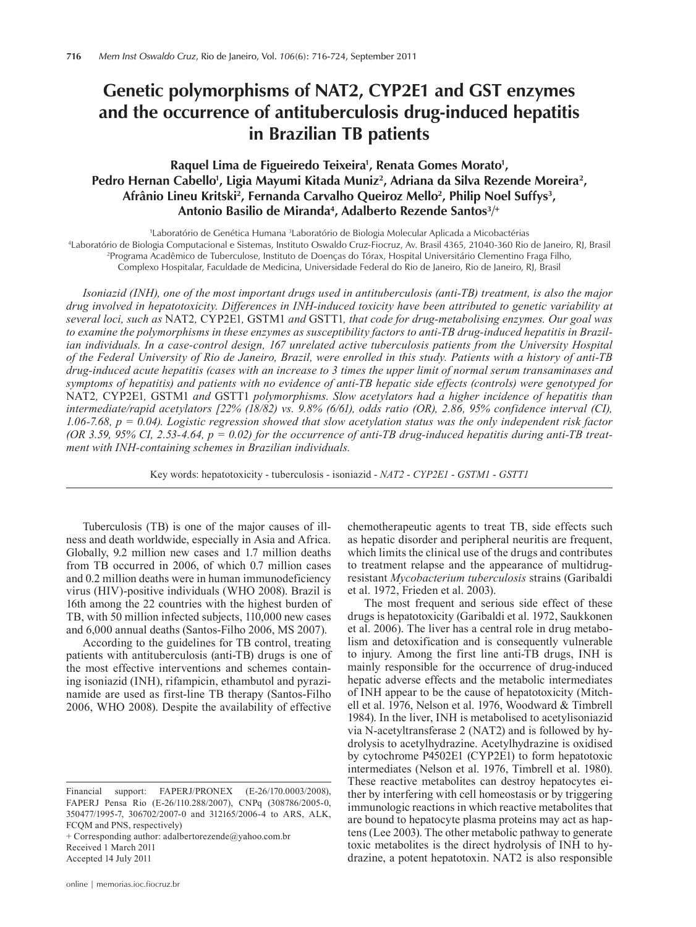# **Genetic polymorphisms of NAT2, CYP2E1 and GST enzymes and the occurrence of antituberculosis drug-induced hepatitis in Brazilian TB patients**

## Raquel Lima de Figueiredo Teixeira<sup>1</sup>, Renata Gomes Morato<sup>1</sup>, Pedro Hernan Cabello<sup>1</sup>, Ligia Mayumi Kitada Muniz<sup>2</sup>, Adriana da Silva Rezende Moreira<sup>2</sup>, **Afrânio Lineu Kritski2, Fernanda Carvalho Queiroz Mello2, Philip Noel Suffys3 ,**  Antonio Basilio de Miranda<sup>4</sup>, Adalberto Rezende Santos<sup>3/+</sup>

1 Laboratório de Genética Humana 3 laboratório de Genética Humana <sup>3</sup>Laboratório de Biologia Molecular Aplicada a Micobactérias"<br>19 aboratório de Biologia Computacional e Sistemas, Instituto Oswaldo Cruz-Fiocruz, Av. Brasil 4365, 21040-360 Rio

Laboratório de Biologia Computacional e Sistemas, Instituto Oswaldo Cruz-Fiocruz, Av. Brasil 4365, 21040-360 Rio de Janeiro, RJ, Brasil<br><sup>2</sup>Programa Acadêmico de Tuberculose, Instituto de Doencas do Tórax, Hospital Universi

Programa Acadêmico de Tuberculose, Instituto de Doenças do Tórax, Hospital Universitário Clementino Fraga Filho,

Complexo Hospitalar, Faculdade de Medicina, Universidade Federal do Rio de Janeiro, Rio de Janeiro, RJ, Brasil

*Isoniazid (INH), one of the most important drugs used in antituberculosis (anti-TB) treatment, is also the major drug involved in hepatotoxicity. Differences in INH-induced toxicity have been attributed to genetic variability at several loci, such as* NAT2*,* CYP2E1*,* GSTM1 *and* GSTT1*, that code for drug-metabolising enzymes. Our goal was to examine the polymorphisms in these enzymes as susceptibility factors to anti-TB drug-induced hepatitis in Brazilian individuals. In a case-control design, 167 unrelated active tuberculosis patients from the University Hospital of the Federal University of Rio de Janeiro, Brazil, were enrolled in this study. Patients with a history of anti-TB drug-induced acute hepatitis (cases with an increase to 3 times the upper limit of normal serum transaminases and symptoms of hepatitis) and patients with no evidence of anti-TB hepatic side effects (controls) were genotyped for*  NAT2*,* CYP2E1*,* GSTM1 *and* GSTT1 *polymorphisms. Slow acetylators had a higher incidence of hepatitis than intermediate/rapid acetylators [22% (18/82) vs. 9.8% (6/61), odds ratio (OR), 2.86, 95% confidence interval (CI), 1.06-7.68, p = 0.04). Logistic regression showed that slow acetylation status was the only independent risk factor (OR 3.59, 95% CI, 2.53-4.64, p = 0.02) for the occurrence of anti-TB drug-induced hepatitis during anti-TB treatment with INH-containing schemes in Brazilian individuals.*

Key words: hepatotoxicity - tuberculosis - isoniazid - *NAT2* - *CYP2E1* - *GSTM1* - *GSTT1*

Tuberculosis (TB) is one of the major causes of illness and death worldwide, especially in Asia and Africa. Globally, 9.2 million new cases and 1.7 million deaths from TB occurred in 2006, of which 0.7 million cases and 0.2 million deaths were in human immunodeficiency virus (HIV)-positive individuals (WHO 2008). Brazil is 16th among the 22 countries with the highest burden of TB, with 50 million infected subjects, 110,000 new cases and 6,000 annual deaths (Santos-Filho 2006, MS 2007).

According to the guidelines for TB control, treating patients with antituberculosis (anti-TB) drugs is one of the most effective interventions and schemes containing isoniazid (INH), rifampicin, ethambutol and pyrazinamide are used as first-line TB therapy (Santos-Filho 2006, WHO 2008). Despite the availability of effective

+ Corresponding author: adalbertorezende@yahoo.com.br Received 1 March 2011

online | memorias.ioc.fiocruz.br

chemotherapeutic agents to treat TB, side effects such as hepatic disorder and peripheral neuritis are frequent, which limits the clinical use of the drugs and contributes to treatment relapse and the appearance of multidrugresistant *Mycobacterium tuberculosis* strains (Garibaldi et al. 1972, Frieden et al. 2003).

The most frequent and serious side effect of these drugs is hepatotoxicity (Garibaldi et al. 1972, Saukkonen et al. 2006). The liver has a central role in drug metabolism and detoxification and is consequently vulnerable to injury. Among the first line anti-TB drugs, INH is mainly responsible for the occurrence of drug-induced hepatic adverse effects and the metabolic intermediates of INH appear to be the cause of hepatotoxicity (Mitchell et al. 1976, Nelson et al. 1976, Woodward & Timbrell 1984). In the liver, INH is metabolised to acetylisoniazid via N-acetyltransferase 2 (NAT2) and is followed by hydrolysis to acetylhydrazine. Acetylhydrazine is oxidised by cytochrome P4502E1 (CYP2E1) to form hepatotoxic intermediates (Nelson et al. 1976, Timbrell et al. 1980). These reactive metabolites can destroy hepatocytes either by interfering with cell homeostasis or by triggering immunologic reactions in which reactive metabolites that are bound to hepatocyte plasma proteins may act as haptens (Lee 2003). The other metabolic pathway to generate toxic metabolites is the direct hydrolysis of INH to hydrazine, a potent hepatotoxin. NAT2 is also responsible

Financial support: FAPERJ/PRONEX (E-26/170.0003/2008), FAPERJ Pensa Rio (E-26/110.288/2007), CNPq (308786/2005-0, 350477/1995-7, 306702/2007-0 and 312165/2006-4 to ARS, ALK, FCQM and PNS, respectively)

Accepted 14 July 2011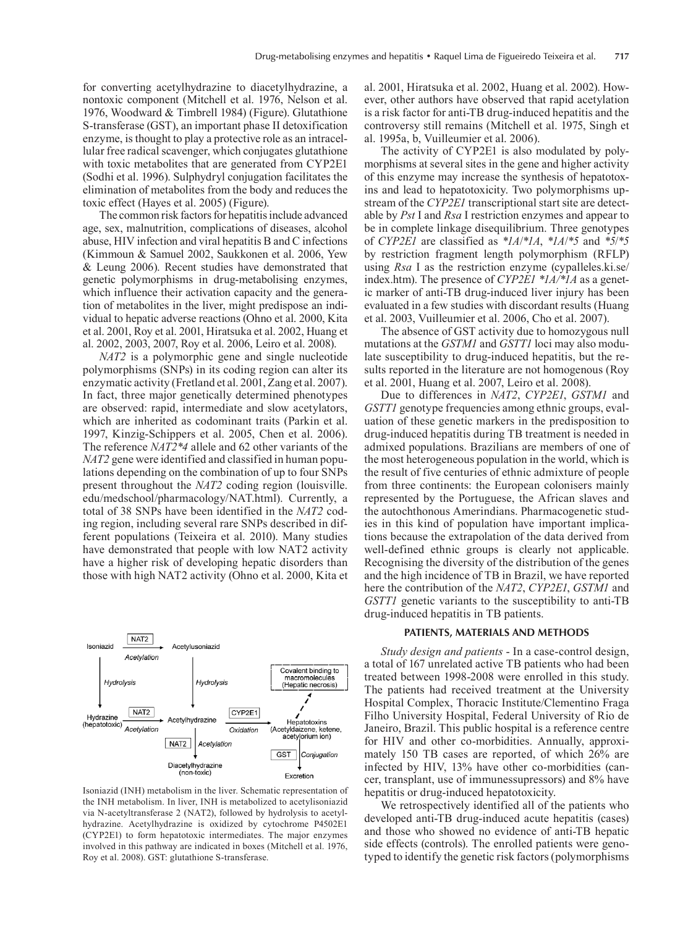for converting acetylhydrazine to diacetylhydrazine, a nontoxic component (Mitchell et al. 1976, Nelson et al. 1976, Woodward & Timbrell 1984) (Figure). Glutathione S-transferase (GST), an important phase II detoxification enzyme, is thought to play a protective role as an intracellular free radical scavenger, which conjugates glutathione with toxic metabolites that are generated from CYP2E1 (Sodhi et al. 1996). Sulphydryl conjugation facilitates the elimination of metabolites from the body and reduces the toxic effect (Hayes et al. 2005) (Figure).

The common risk factors for hepatitis include advanced age, sex, malnutrition, complications of diseases, alcohol abuse, HIV infection and viral hepatitis B and C infections (Kimmoun & Samuel 2002, Saukkonen et al. 2006, Yew & Leung 2006). Recent studies have demonstrated that genetic polymorphisms in drug-metabolising enzymes, which influence their activation capacity and the generation of metabolites in the liver, might predispose an individual to hepatic adverse reactions (Ohno et al. 2000, Kita et al. 2001, Roy et al. 2001, Hiratsuka et al. 2002, Huang et al. 2002, 2003, 2007, Roy et al. 2006, Leiro et al. 2008).

*NAT2* is a polymorphic gene and single nucleotide polymorphisms (SNPs) in its coding region can alter its enzymatic activity (Fretland et al. 2001, Zang et al. 2007). In fact, three major genetically determined phenotypes are observed: rapid, intermediate and slow acetylators, which are inherited as codominant traits (Parkin et al. 1997, Kinzig-Schippers et al. 2005, Chen et al. 2006). The reference *NAT2\*4* allele and 62 other variants of the *NAT2* gene were identified and classified in human populations depending on the combination of up to four SNPs present throughout the *NAT2* coding region (louisville. edu/medschool/pharmacology/NAT.html). Currently, a total of 38 SNPs have been identified in the *NAT2* coding region, including several rare SNPs described in different populations (Teixeira et al. 2010). Many studies have demonstrated that people with low NAT2 activity have a higher risk of developing hepatic disorders than those with high NAT2 activity (Ohno et al. 2000, Kita et



Isoniazid (INH) metabolism in the liver. Schematic representation of the INH metabolism. In liver, INH is metabolized to acetylisoniazid via N-acetyltransferase 2 (NAT2), followed by hydrolysis to acetylhydrazine. Acetylhydrazine is oxidized by cytochrome P4502E1 (CYP2E1) to form hepatotoxic intermediates. The major enzymes involved in this pathway are indicated in boxes (Mitchell et al. 1976, Roy et al. 2008). GST: glutathione S-transferase.

al. 2001, Hiratsuka et al. 2002, Huang et al. 2002). However, other authors have observed that rapid acetylation is a risk factor for anti-TB drug-induced hepatitis and the controversy still remains (Mitchell et al. 1975, Singh et al. 1995a, b, Vuilleumier et al. 2006).

The activity of CYP2E1 is also modulated by polymorphisms at several sites in the gene and higher activity of this enzyme may increase the synthesis of hepatotoxins and lead to hepatotoxicity. Two polymorphisms upstream of the *CYP2E1* transcriptional start site are detectable by *Pst* I and *Rsa* I restriction enzymes and appear to be in complete linkage disequilibrium. Three genotypes of *CYP2E1* are classified as *\*1A*/*\*1A*, *\*1A*/*\*5* and *\*5*/*\*5* by restriction fragment length polymorphism (RFLP) using *Rsa* I as the restriction enzyme (cypalleles.ki.se/ index.htm). The presence of *CYP2E1 \*1A/\*1A* as a genetic marker of anti-TB drug-induced liver injury has been evaluated in a few studies with discordant results (Huang et al. 2003, Vuilleumier et al. 2006, Cho et al. 2007).

The absence of GST activity due to homozygous null mutations at the *GSTM1* and *GSTT1* loci may also modulate susceptibility to drug-induced hepatitis, but the results reported in the literature are not homogenous (Roy et al. 2001, Huang et al. 2007, Leiro et al. 2008).

Due to differences in *NAT2*, *CYP2E1*, *GSTM1* and *GSTT1* genotype frequencies among ethnic groups, evaluation of these genetic markers in the predisposition to drug-induced hepatitis during TB treatment is needed in admixed populations. Brazilians are members of one of the most heterogeneous population in the world, which is the result of five centuries of ethnic admixture of people from three continents: the European colonisers mainly represented by the Portuguese, the African slaves and the autochthonous Amerindians. Pharmacogenetic studies in this kind of population have important implications because the extrapolation of the data derived from well-defined ethnic groups is clearly not applicable. Recognising the diversity of the distribution of the genes and the high incidence of TB in Brazil, we have reported here the contribution of the *NAT2*, *CYP2E1*, *GSTM1* and *GSTT1* genetic variants to the susceptibility to anti-TB drug-induced hepatitis in TB patients.

#### **PATIENTS, MATERIALS AND METHODS**

*Study design and patients* - In a case-control design, a total of 167 unrelated active TB patients who had been treated between 1998-2008 were enrolled in this study. The patients had received treatment at the University Hospital Complex, Thoracic Institute/Clementino Fraga Filho University Hospital, Federal University of Rio de Janeiro, Brazil. This public hospital is a reference centre for HIV and other co-morbidities. Annually, approximately 150 TB cases are reported, of which 26% are infected by HIV, 13% have other co-morbidities (cancer, transplant, use of immunessupressors) and 8% have hepatitis or drug-induced hepatotoxicity.

We retrospectively identified all of the patients who developed anti-TB drug-induced acute hepatitis (cases) and those who showed no evidence of anti-TB hepatic side effects (controls). The enrolled patients were genotyped to identify the genetic risk factors (polymorphisms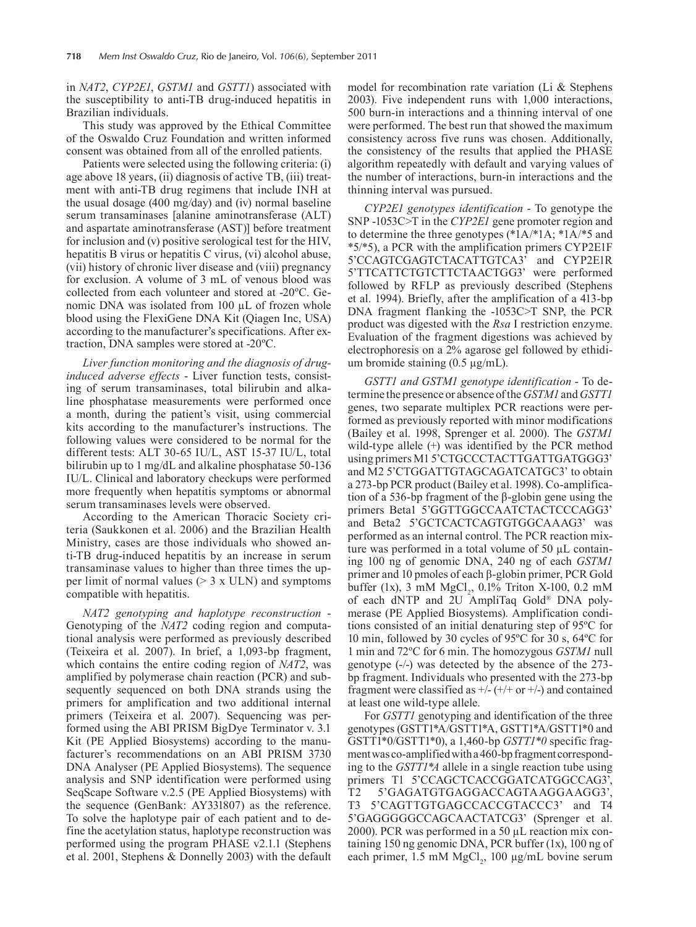in *NAT2*, *CYP2E1*, *GSTM1* and *GSTT1*) associated with the susceptibility to anti-TB drug-induced hepatitis in Brazilian individuals.

This study was approved by the Ethical Committee of the Oswaldo Cruz Foundation and written informed consent was obtained from all of the enrolled patients.

Patients were selected using the following criteria: (i) age above 18 years, (ii) diagnosis of active TB, (iii) treatment with anti-TB drug regimens that include INH at the usual dosage (400 mg/day) and (iv) normal baseline serum transaminases [alanine aminotransferase (ALT) and aspartate aminotransferase (AST)] before treatment for inclusion and (v) positive serological test for the HIV, hepatitis B virus or hepatitis C virus, (vi) alcohol abuse, (vii) history of chronic liver disease and (viii) pregnancy for exclusion. A volume of 3 mL of venous blood was collected from each volunteer and stored at -20ºC. Genomic DNA was isolated from 100 µL of frozen whole blood using the FlexiGene DNA Kit (Qiagen Inc, USA) according to the manufacturer's specifications. After extraction, DNA samples were stored at -20ºC.

*Liver function monitoring and the diagnosis of druginduced adverse effects* - Liver function tests, consisting of serum transaminases, total bilirubin and alkaline phosphatase measurements were performed once a month, during the patient's visit, using commercial kits according to the manufacturer's instructions. The following values were considered to be normal for the different tests: ALT 30-65 IU/L, AST 15-37 IU/L, total bilirubin up to 1 mg/dL and alkaline phosphatase 50-136 IU/L. Clinical and laboratory checkups were performed more frequently when hepatitis symptoms or abnormal serum transaminases levels were observed.

According to the American Thoracic Society criteria (Saukkonen et al. 2006) and the Brazilian Health Ministry, cases are those individuals who showed anti-TB drug-induced hepatitis by an increase in serum transaminase values to higher than three times the upper limit of normal values  $(> 3 \times ULN)$  and symptoms compatible with hepatitis.

*NAT2 genotyping and haplotype reconstruction* - Genotyping of the *NAT2* coding region and computational analysis were performed as previously described (Teixeira et al. 2007). In brief, a 1,093-bp fragment, which contains the entire coding region of *NAT2*, was amplified by polymerase chain reaction (PCR) and subsequently sequenced on both DNA strands using the primers for amplification and two additional internal primers (Teixeira et al. 2007). Sequencing was performed using the ABI PRISM BigDye Terminator v. 3.1 Kit (PE Applied Biosystems) according to the manufacturer's recommendations on an ABI PRISM 3730 DNA Analyser (PE Applied Biosystems). The sequence analysis and SNP identification were performed using SeqScape Software v.2.5 (PE Applied Biosystems) with the sequence (GenBank: AY331807) as the reference. To solve the haplotype pair of each patient and to define the acetylation status, haplotype reconstruction was performed using the program PHASE v2.1.1 (Stephens et al. 2001, Stephens & Donnelly 2003) with the default model for recombination rate variation (Li & Stephens 2003). Five independent runs with 1,000 interactions, 500 burn-in interactions and a thinning interval of one were performed. The best run that showed the maximum consistency across five runs was chosen. Additionally, the consistency of the results that applied the PHASE algorithm repeatedly with default and varying values of the number of interactions, burn-in interactions and the thinning interval was pursued.

*CYP2E1 genotypes identification* - To genotype the SNP -1053C>T in the *CYP2E1* gene promoter region and to determine the three genotypes (\*1A/\*1A; \*1A/\*5 and \*5/\*5), a PCR with the amplification primers CYP2E1F 5'CCAGTCGAGTCTACATTGTCA3' and CYP2E1R 5'TTCATTCTGTCTTCTAACTGG3' were performed followed by RFLP as previously described (Stephens et al. 1994). Briefly, after the amplification of a 413-bp DNA fragment flanking the -1053C>T SNP, the PCR product was digested with the *Rsa* I restriction enzyme. Evaluation of the fragment digestions was achieved by electrophoresis on a 2% agarose gel followed by ethidium bromide staining  $(0.5 \mu g/mL)$ .

*GSTT1 and GSTM1 genotype identification* - To determine the presence or absence of the *GSTM1* and *GSTT1* genes, two separate multiplex PCR reactions were performed as previously reported with minor modifications (Bailey et al. 1998, Sprenger et al. 2000). The *GSTM1*  wild-type allele (+) was identified by the PCR method using primers M1 5'CTGCCCTACTTGATTGATGGG3' and M2 5'CTGGATTGTAGCAGATCATGC3' to obtain a 273-bp PCR product (Bailey et al. 1998). Co-amplification of a 536-bp fragment of the β-globin gene using the primers Beta1 5'GGTTGGCCAATCTACTCCCAGG3' and Beta2 5'GCTCACTCAGTGTGGCAAAG3' was performed as an internal control. The PCR reaction mixture was performed in a total volume of 50 µL containing 100 ng of genomic DNA, 240 ng of each *GSTM1* primer and 10 pmoles of each β-globin primer, PCR Gold buffer (1x),  $3 \text{ mM MgCl}_2$ ,  $0.1\%$  Triton X-100,  $0.2 \text{ mM}$ of each dNTP and 2U AmpliTaq Gold® DNA polymerase (PE Applied Biosystems). Amplification conditions consisted of an initial denaturing step of 95ºC for 10 min, followed by 30 cycles of 95ºC for 30 s, 64ºC for 1 min and 72ºC for 6 min. The homozygous *GSTM1* null genotype (-/-) was detected by the absence of the 273 bp fragment. Individuals who presented with the 273-bp fragment were classified as  $+/- (+/+ or +/-)$  and contained at least one wild-type allele.

For *GSTT1* genotyping and identification of the three genotypes (GSTT1\*A/GSTT1\*A, GSTT1\*A/GSTT1\*0 and GSTT1\*0/GSTT1\*0), a 1,460-bp *GSTT1\*0* specific fragment was co-amplified with a 460-bp fragment corresponding to the *GSTT1\*A* allele in a single reaction tube using primers T1 5'CCAGCTCACCGGATCATGGCCAG3', T2 5'gagatgtgaggaccagtaaggaagg3', T3 5'CAGTTGTGAGCCACCGTACCC3' and T4 5'gagggggccagcaactatcg3' (Sprenger et al. 2000). PCR was performed in a 50 µL reaction mix containing 150 ng genomic DNA, PCR buffer (1x), 100 ng of each primer,  $1.5 \text{ mM MgCl}_2$ ,  $100 \text{ µg/mL}$  bovine serum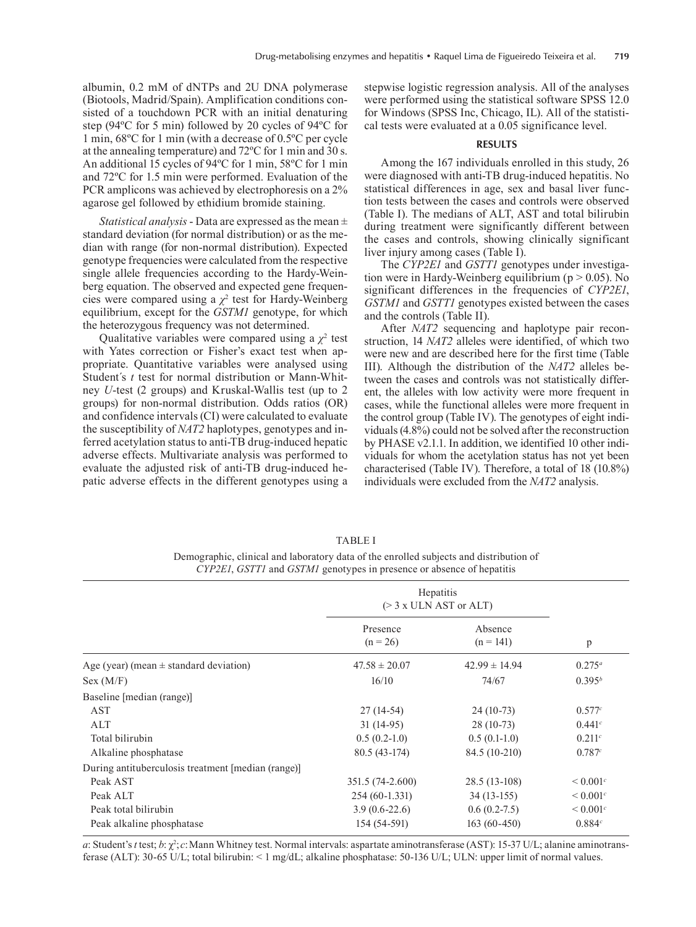albumin, 0.2 mM of dNTPs and 2U DNA polymerase (Biotools, Madrid/Spain). Amplification conditions consisted of a touchdown PCR with an initial denaturing step (94ºC for 5 min) followed by 20 cycles of 94ºC for 1 min, 68ºC for 1 min (with a decrease of 0.5ºC per cycle at the annealing temperature) and 72ºC for 1 min and 30 s. An additional 15 cycles of 94ºC for 1 min, 58ºC for 1 min and 72ºC for 1.5 min were performed. Evaluation of the PCR amplicons was achieved by electrophoresis on a 2% agarose gel followed by ethidium bromide staining.

*Statistical analysis* - Data are expressed as the mean ± standard deviation (for normal distribution) or as the median with range (for non-normal distribution). Expected genotype frequencies were calculated from the respective single allele frequencies according to the Hardy-Weinberg equation. The observed and expected gene frequencies were compared using a  $\chi^2$  test for Hardy-Weinberg equilibrium, except for the *GSTM1* genotype, for which the heterozygous frequency was not determined.

Qualitative variables were compared using a  $\chi^2$  test with Yates correction or Fisher's exact test when appropriate. Quantitative variables were analysed using Student´s *t* test for normal distribution or Mann-Whitney *U*-test (2 groups) and Kruskal-Wallis test (up to 2 groups) for non-normal distribution. Odds ratios (OR) and confidence intervals (CI) were calculated to evaluate the susceptibility of *NAT2* haplotypes, genotypes and inferred acetylation status to anti-TB drug-induced hepatic adverse effects. Multivariate analysis was performed to evaluate the adjusted risk of anti-TB drug-induced hepatic adverse effects in the different genotypes using a

stepwise logistic regression analysis. All of the analyses were performed using the statistical software SPSS 12.0 for Windows (SPSS Inc, Chicago, IL). All of the statistical tests were evaluated at a 0.05 significance level.

### **RESULTS**

Among the 167 individuals enrolled in this study, 26 were diagnosed with anti-TB drug-induced hepatitis. No statistical differences in age, sex and basal liver function tests between the cases and controls were observed (Table I). The medians of ALT, AST and total bilirubin during treatment were significantly different between the cases and controls, showing clinically significant liver injury among cases (Table I).

The *CYP2E1* and *GSTT1* genotypes under investigation were in Hardy-Weinberg equilibrium ( $p > 0.05$ ). No significant differences in the frequencies of *CYP2E1*, *GSTM1* and *GSTT1* genotypes existed between the cases and the controls (Table II).

After *NAT2* sequencing and haplotype pair reconstruction, 14 *NAT2* alleles were identified, of which two were new and are described here for the first time (Table III). Although the distribution of the *NAT2* alleles between the cases and controls was not statistically different, the alleles with low activity were more frequent in cases, while the functional alleles were more frequent in the control group (Table IV). The genotypes of eight individuals (4.8%) could not be solved after the reconstruction by PHASE v2.1.1. In addition, we identified 10 other individuals for whom the acetylation status has not yet been characterised (Table IV). Therefore, a total of 18 (10.8%) individuals were excluded from the *NAT2* analysis.

|                                                    | Hepatitis<br>$(> 3 x$ ULN AST or ALT) |                        |               |
|----------------------------------------------------|---------------------------------------|------------------------|---------------|
|                                                    | Presence<br>$(n = 26)$                | Absence<br>$(n = 141)$ | p             |
| Age (year) (mean $\pm$ standard deviation)         | $47.58 \pm 20.07$                     | $42.99 \pm 14.94$      | $0.275^a$     |
| Sex (M/F)                                          | 16/10                                 | 74/67                  | $0.395^{b}$   |
| Baseline [median (range)]                          |                                       |                        |               |
| <b>AST</b>                                         | $27(14-54)$                           | $24(10-73)$            | 0.577c        |
| ALT                                                | $31(14-95)$                           | $28(10-73)$            | 0.441c        |
| Total bilirubin                                    | $0.5(0.2-1.0)$                        | $0.5(0.1-1.0)$         | 0.211c        |
| Alkaline phosphatase                               | 80.5 (43-174)                         | 84.5 (10-210)          | 0.787c        |
| During antituberculosis treatment [median (range)] |                                       |                        |               |
| Peak AST                                           | 351.5 (74-2.600)                      | 28.5 (13-108)          | ${}< 0.001^c$ |
| Peak ALT                                           | $254(60-1.331)$                       | $34(13-155)$           | ${}< 0.001^c$ |
| Peak total bilirubin                               | $3.9(0.6-22.6)$                       | $0.6(0.2-7.5)$         | ${}< 0.001^c$ |
| Peak alkaline phosphatase                          | 154 (54-591)                          | $163(60-450)$          | 0.884c        |

#### TABLE I

Demographic, clinical and laboratory data of the enrolled subjects and distribution of *CYP2E1*, *GSTT1* and *GSTM1* genotypes in presence or absence of hepatitis

*a*: Student's *t* test; *b*: χ<sup>2</sup>; *c*:Mann Whitney test. Normal intervals: aspartate aminotransferase (AST): 15-37 U/L; alanine aminotransferase (ALT): 30-65 U/L; total bilirubin: < 1 mg/dL; alkaline phosphatase: 50-136 U/L; ULN: upper limit of normal values.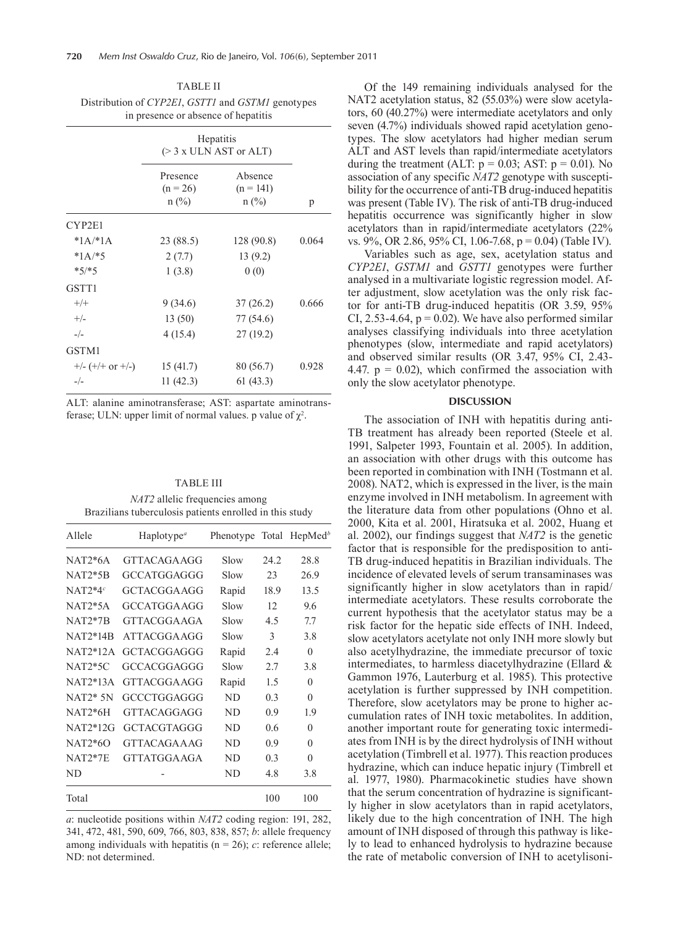| TABLE II                                          |
|---------------------------------------------------|
| Distribution of CYP2E1, GSTT1 and GSTM1 genotypes |
| in presence or absence of hepatitis               |

|                    | Hepatitis<br>$(> 3 x$ ULN AST or ALT) |                                   |       |
|--------------------|---------------------------------------|-----------------------------------|-------|
|                    | Presence<br>$(n = 26)$<br>$n$ (%)     | Absence<br>$(n = 141)$<br>$n$ (%) | p     |
| CYP2E1             |                                       |                                   |       |
| * $1A$ /* $1A$     | 23 (88.5)                             | 128(90.8)                         | 0.064 |
| $*1A/*5$           | 2(7.7)                                | 13(9.2)                           |       |
| $*5/*5$            | 1(3.8)                                | 0(0)                              |       |
| GSTT1              |                                       |                                   |       |
| $+/+$              | 9 (34.6)                              | 37(26.2)                          | 0.666 |
| $+/-$              | 13(50)                                | 77 (54.6)                         |       |
| $-/-$              | 4(15.4)                               | 27(19.2)                          |       |
| GSTM1              |                                       |                                   |       |
| $+/- (+/+ or +/-)$ | 15(41.7)                              | 80 (56.7)                         | 0.928 |
| $-/-$              | 11(42.3)                              | 61(43.3)                          |       |

ALT: alanine aminotransferase; AST: aspartate aminotransferase; ULN: upper limit of normal values. p value of  $\chi^2$ .

| <b>TABLE III</b>                                        |  |
|---------------------------------------------------------|--|
| <i>NAT2</i> allelic frequencies among                   |  |
| Brazilians tuberculosis patients enrolled in this study |  |

| Allele         | Haplotype <sup><math>a</math></sup> | Phenotype |      | Total HepMed <sup>b</sup> |  |
|----------------|-------------------------------------|-----------|------|---------------------------|--|
| $NAT2*6A$      | GTTACAGA AGG                        | Slow      | 242  | 28.8                      |  |
| <b>NAT2*5B</b> | GCCATGGAGGG                         | Slow      | 23   | 26.9                      |  |
| $NAT2*4c$      | GCTACGGA AGG                        | Rapid     | 18.9 | 13.5                      |  |
| $NAT2*5A$      | GCCATGGA AGG                        | Slow      | 12   | 9.6                       |  |
| $NAT2*7B$      | GTTACGGA AGA                        | Slow      | 4.5  | 7.7                       |  |
| $NAT2*14R$     | ATTACGGA AGG                        | Slow      | 3    | 3.8                       |  |
| $NAT2*12A$     | GCTACGGAGGG                         | Rapid     | 2.4  | 0                         |  |
| $NAT2*5C$      | GCCACGGAGGG                         | Slow      | 2.7  | 38                        |  |
| $NAT2*13A$     | GTTACGGA AGG                        | Rapid     | 1.5  | 0                         |  |
| $NAT2*5N$      | GCCCTGGAGGG                         | ND.       | 0.3  | $\theta$                  |  |
| $NAT2*6H$      | GTTACAGGAGG                         | ND        | 0.9  | 1.9                       |  |
| NAT2*12G       | GCTACGTAGGG                         | ND.       | 0.6  | 0                         |  |
| $NAT2*60$      | GTTACAGA A AG                       | ND        | 0.9  | 0                         |  |
| $NAT2*7E$      | GTTATGGA AGA                        | ND        | 0.3  | $\Omega$                  |  |
| ND             |                                     | ND        | 4.8  | 3.8                       |  |
| Total          |                                     |           | 100  | 100                       |  |

*a*: nucleotide positions within *NAT2* coding region: 191, 282, 341, 472, 481, 590, 609, 766, 803, 838, 857; *b*: allele frequency among individuals with hepatitis ( $n = 26$ ); *c*: reference allele; ND: not determined.

Of the 149 remaining individuals analysed for the NAT2 acetylation status, 82 (55.03%) were slow acetylators, 60 (40.27%) were intermediate acetylators and only seven (4.7%) individuals showed rapid acetylation genotypes. The slow acetylators had higher median serum ALT and AST levels than rapid/intermediate acetylators during the treatment (ALT:  $p = 0.03$ ; AST:  $p = 0.01$ ). No association of any specific *NAT2* genotype with susceptibility for the occurrence of anti-TB drug-induced hepatitis was present (Table IV). The risk of anti-TB drug-induced hepatitis occurrence was significantly higher in slow acetylators than in rapid/intermediate acetylators (22% vs. 9%, OR 2.86, 95% CI, 1.06-7.68, p = 0.04) (Table IV).

Variables such as age, sex, acetylation status and *CYP2E1*, *GSTM1* and *GSTT1* genotypes were further analysed in a multivariate logistic regression model. After adjustment, slow acetylation was the only risk factor for anti-TB drug-induced hepatitis (OR 3.59, 95% CI, 2.53-4.64,  $p = 0.02$ ). We have also performed similar analyses classifying individuals into three acetylation phenotypes (slow, intermediate and rapid acetylators) and observed similar results (OR 3.47, 95% CI, 2.43- 4.47.  $p = 0.02$ , which confirmed the association with only the slow acetylator phenotype.

#### **DISCUSSION**

The association of INH with hepatitis during anti-TB treatment has already been reported (Steele et al. 1991, Salpeter 1993, Fountain et al. 2005). In addition, an association with other drugs with this outcome has been reported in combination with INH (Tostmann et al. 2008). NAT2, which is expressed in the liver, is the main enzyme involved in INH metabolism. In agreement with the literature data from other populations (Ohno et al. 2000, Kita et al. 2001, Hiratsuka et al. 2002, Huang et al. 2002), our findings suggest that *NAT2* is the genetic factor that is responsible for the predisposition to anti-TB drug-induced hepatitis in Brazilian individuals. The incidence of elevated levels of serum transaminases was significantly higher in slow acetylators than in rapid/ intermediate acetylators. These results corroborate the current hypothesis that the acetylator status may be a risk factor for the hepatic side effects of INH. Indeed, slow acetylators acetylate not only INH more slowly but also acetylhydrazine, the immediate precursor of toxic intermediates, to harmless diacetylhydrazine (Ellard & Gammon 1976, Lauterburg et al. 1985). This protective acetylation is further suppressed by INH competition. Therefore, slow acetylators may be prone to higher accumulation rates of INH toxic metabolites. In addition, another important route for generating toxic intermediates from INH is by the direct hydrolysis of INH without acetylation (Timbrell et al. 1977). This reaction produces hydrazine, which can induce hepatic injury (Timbrell et al. 1977, 1980). Pharmacokinetic studies have shown that the serum concentration of hydrazine is significantly higher in slow acetylators than in rapid acetylators, likely due to the high concentration of INH. The high amount of INH disposed of through this pathway is likely to lead to enhanced hydrolysis to hydrazine because the rate of metabolic conversion of INH to acetylisoni-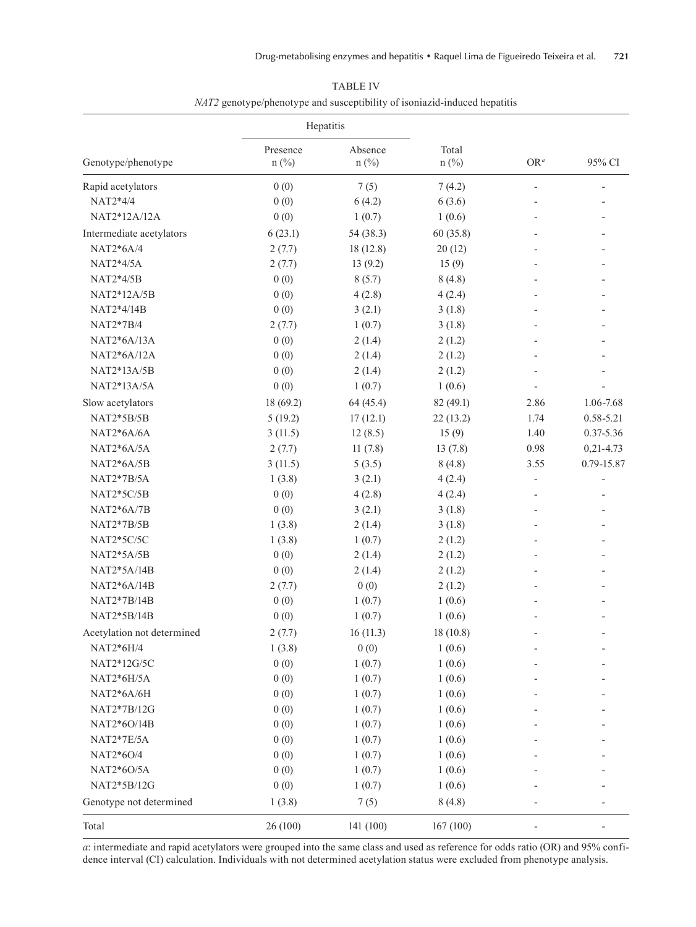|                            | Hepatitis           |                    |                  |        |                          |
|----------------------------|---------------------|--------------------|------------------|--------|--------------------------|
| Genotype/phenotype         | Presence<br>$n$ (%) | Absence<br>$n$ (%) | Total<br>$n$ (%) | $OR^a$ | 95% CI                   |
| Rapid acetylators          | 0(0)                | 7(5)               | 7(4.2)           |        | $\overline{\phantom{a}}$ |
| NAT2*4/4                   | 0(0)                | 6(4.2)             | 6(3.6)           |        |                          |
| NAT2*12A/12A               | 0(0)                | 1(0.7)             | 1(0.6)           |        |                          |
| Intermediate acetylators   | 6(23.1)             | 54 (38.3)          | 60(35.8)         |        |                          |
| NAT2*6A/4                  | 2(7.7)              | 18(12.8)           | 20(12)           |        |                          |
| NAT2*4/5A                  | 2(7.7)              | 13(9.2)            | 15(9)            |        |                          |
| NAT2*4/5B                  | 0(0)                | 8(5.7)             | 8(4.8)           |        |                          |
| NAT2*12A/5B                | 0(0)                | 4(2.8)             | 4(2.4)           |        |                          |
| NAT2*4/14B                 | 0(0)                | 3(2.1)             | 3(1.8)           |        |                          |
| NAT2*7B/4                  | 2(7.7)              | 1(0.7)             | 3(1.8)           |        |                          |
| NAT2*6A/13A                | 0(0)                | 2(1.4)             | 2(1.2)           |        |                          |
| NAT2*6A/12A                | 0(0)                | 2(1.4)             | 2(1.2)           |        |                          |
| NAT2*13A/5B                | 0(0)                | 2(1.4)             | 2(1.2)           |        |                          |
| NAT2*13A/5A                | 0(0)                | 1(0.7)             | 1(0.6)           |        |                          |
| Slow acetylators           | 18 (69.2)           | 64 (45.4)          | 82 (49.1)        | 2.86   | 1.06-7.68                |
| NAT2*5B/5B                 | 5(19.2)             | 17(12.1)           | 22(13.2)         | 1.74   | 0.58-5.21                |
| $NAT2*6A/6A$               | 3(11.5)             | 12(8.5)            | 15(9)            | 1.40   | 0.37-5.36                |
| NAT2*6A/5A                 | 2(7.7)              | 11(7.8)            | 13(7.8)          | 0.98   | $0,21 - 4.73$            |
| $NAT2*6A/5B$               | 3(11.5)             | 5(3.5)             | 8(4.8)           | 3.55   | 0.79-15.87               |
| NAT2*7B/5A                 | 1(3.8)              | 3(2.1)             | 4(2.4)           |        |                          |
| NAT2*5C/5B                 | 0(0)                | 4(2.8)             | 4(2.4)           |        |                          |
| $NAT2*6A/7B$               | 0(0)                | 3(2.1)             | 3(1.8)           |        |                          |
| NAT2*7B/5B                 | 1(3.8)              | 2(1.4)             | 3(1.8)           |        |                          |
| NAT2*5C/5C                 | 1(3.8)              | 1(0.7)             | 2(1.2)           |        |                          |
| NAT2*5A/5B                 | 0(0)                | 2(1.4)             | 2(1.2)           |        |                          |
| NAT2*5A/14B                | 0(0)                | 2(1.4)             | 2(1.2)           |        |                          |
| NAT2*6A/14B                | 2(7.7)              | 0(0)               | 2(1.2)           |        |                          |
| NAT2*7B/14B                | 0(0)                | 1(0.7)             | 1(0.6)           |        |                          |
| NAT2*5B/14B                | 0(0)                | 1(0.7)             | 1(0.6)           |        |                          |
| Acetylation not determined | 2(7.7)              | 16(11.3)           | 18 (10.8)        |        |                          |
| NAT2*6H/4                  | 1(3.8)              | 0(0)               | 1(0.6)           |        |                          |
| NAT2*12G/5C                | 0(0)                | 1(0.7)             | 1(0.6)           |        |                          |
| NAT2*6H/5A                 | 0(0)                | 1(0.7)             | 1(0.6)           |        |                          |
| NAT2*6A/6H                 | 0(0)                | 1(0.7)             | 1(0.6)           |        |                          |
| NAT2*7B/12G                | 0(0)                | 1(0.7)             | 1(0.6)           |        |                          |
| NAT2*6O/14B                | 0(0)                | 1(0.7)             | 1(0.6)           |        |                          |
| NAT2*7E/5A                 | 0(0)                | 1(0.7)             | 1(0.6)           |        |                          |
| NAT2*6O/4                  | 0(0)                | 1(0.7)             | 1(0.6)           |        |                          |
| NAT2*6O/5A                 | 0(0)                | 1(0.7)             | 1(0.6)           |        |                          |
| NAT2*5B/12G                | 0(0)                | 1(0.7)             | 1(0.6)           |        |                          |
| Genotype not determined    | 1(3.8)              | 7(5)               | 8(4.8)           |        |                          |
| Total                      | 26 (100)            | 141 (100)          | 167(100)         |        |                          |

TABLE IV *NAT2* genotype/phenotype and susceptibility of isoniazid-induced hepatitis

*a*: intermediate and rapid acetylators were grouped into the same class and used as reference for odds ratio (OR) and 95% confidence interval (CI) calculation. Individuals with not determined acetylation status were excluded from phenotype analysis.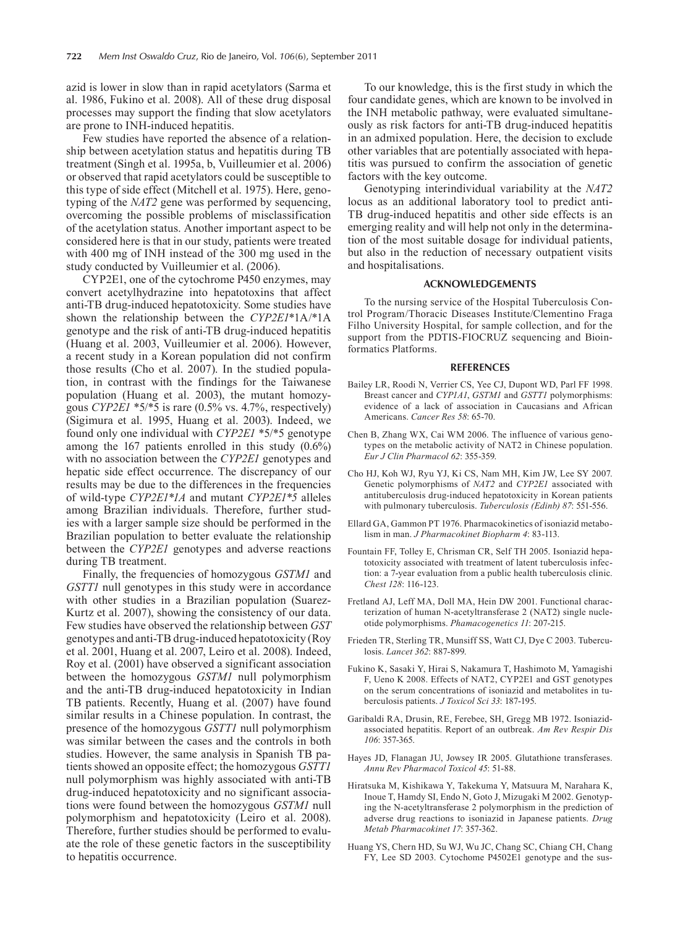azid is lower in slow than in rapid acetylators (Sarma et al. 1986, Fukino et al. 2008). All of these drug disposal processes may support the finding that slow acetylators are prone to INH-induced hepatitis.

Few studies have reported the absence of a relationship between acetylation status and hepatitis during TB treatment (Singh et al. 1995a, b, Vuilleumier et al. 2006) or observed that rapid acetylators could be susceptible to this type of side effect (Mitchell et al. 1975). Here, genotyping of the *NAT2* gene was performed by sequencing, overcoming the possible problems of misclassification of the acetylation status. Another important aspect to be considered here is that in our study, patients were treated with 400 mg of INH instead of the 300 mg used in the study conducted by Vuilleumier et al. (2006).

CYP2E1, one of the cytochrome P450 enzymes, may convert acetylhydrazine into hepatotoxins that affect anti-TB drug-induced hepatotoxicity. Some studies have shown the relationship between the *CYP2E1*\*1A/\*1A genotype and the risk of anti-TB drug-induced hepatitis (Huang et al. 2003, Vuilleumier et al. 2006). However, a recent study in a Korean population did not confirm those results (Cho et al. 2007). In the studied population, in contrast with the findings for the Taiwanese population (Huang et al. 2003), the mutant homozygous *CYP2E1* \*5/\*5 is rare (0.5% vs. 4.7%, respectively) (Sigimura et al. 1995, Huang et al. 2003). Indeed, we found only one individual with *CYP2E1* \*5/\*5 genotype among the 167 patients enrolled in this study (0.6%) with no association between the *CYP2E1* genotypes and hepatic side effect occurrence. The discrepancy of our results may be due to the differences in the frequencies of wild-type *CYP2E1\*1A* and mutant *CYP2E1\*5* alleles among Brazilian individuals. Therefore, further studies with a larger sample size should be performed in the Brazilian population to better evaluate the relationship between the *CYP2E1* genotypes and adverse reactions during TB treatment.

Finally, the frequencies of homozygous *GSTM1* and *GSTT1* null genotypes in this study were in accordance with other studies in a Brazilian population (Suarez-Kurtz et al. 2007), showing the consistency of our data. Few studies have observed the relationship between *GST* genotypes and anti-TB drug-induced hepatotoxicity (Roy et al. 2001, Huang et al. 2007, Leiro et al. 2008). Indeed, Roy et al. (2001) have observed a significant association between the homozygous *GSTM1* null polymorphism and the anti-TB drug-induced hepatotoxicity in Indian TB patients. Recently, Huang et al. (2007) have found similar results in a Chinese population. In contrast, the presence of the homozygous *GSTT1* null polymorphism was similar between the cases and the controls in both studies. However, the same analysis in Spanish TB patients showed an opposite effect; the homozygous *GSTT1* null polymorphism was highly associated with anti-TB drug-induced hepatotoxicity and no significant associations were found between the homozygous *GSTM1* null polymorphism and hepatotoxicity (Leiro et al. 2008). Therefore, further studies should be performed to evaluate the role of these genetic factors in the susceptibility to hepatitis occurrence.

To our knowledge, this is the first study in which the four candidate genes, which are known to be involved in the INH metabolic pathway, were evaluated simultaneously as risk factors for anti-TB drug-induced hepatitis in an admixed population. Here, the decision to exclude other variables that are potentially associated with hepatitis was pursued to confirm the association of genetic factors with the key outcome.

Genotyping interindividual variability at the *NAT2* locus as an additional laboratory tool to predict anti-TB drug-induced hepatitis and other side effects is an emerging reality and will help not only in the determination of the most suitable dosage for individual patients, but also in the reduction of necessary outpatient visits and hospitalisations.

#### **ACKNOWLEDGEMENTS**

To the nursing service of the Hospital Tuberculosis Control Program/Thoracic Diseases Institute/Clementino Fraga Filho University Hospital, for sample collection, and for the support from the PDTIS-FIOCRUZ sequencing and Bioinformatics Platforms.

#### **REFERENCES**

- Bailey LR, Roodi N, Verrier CS, Yee CJ, Dupont WD, Parl FF 1998. Breast cancer and *CYP1A1*, *GSTM1* and *GSTT1* polymorphisms: evidence of a lack of association in Caucasians and African Americans. *Cancer Res 58*: 65-70.
- Chen B, Zhang WX, Cai WM 2006. The influence of various genotypes on the metabolic activity of NAT2 in Chinese population. *Eur J Clin Pharmacol 62*: 355-359.
- Cho HJ, Koh WJ, Ryu YJ, Ki CS, Nam MH, Kim JW, Lee SY 2007. Genetic polymorphisms of *NAT2* and *CYP2E1* associated with antituberculosis drug-induced hepatotoxicity in Korean patients with pulmonary tuberculosis. *Tuberculosis (Edinb) 87*: 551-556.
- Ellard GA, Gammon PT 1976. Pharmacokinetics of isoniazid metabolism in man. *J Pharmacokinet Biopharm 4*: 83-113.
- Fountain FF, Tolley E, Chrisman CR, Self TH 2005. Isoniazid hepatotoxicity associated with treatment of latent tuberculosis infection: a 7-year evaluation from a public health tuberculosis clinic. *Chest 128*: 116-123.
- Fretland AJ, Leff MA, Doll MA, Hein DW 2001. Functional characterization of human N-acetyltransferase 2 (NAT2) single nucleotide polymorphisms. *Phamacogenetics 11*: 207-215.
- Frieden TR, Sterling TR, Munsiff SS, Watt CJ, Dye C 2003. Tuberculosis. *Lancet 362*: 887-899.
- Fukino K, Sasaki Y, Hirai S, Nakamura T, Hashimoto M, Yamagishi F, Ueno K 2008. Effects of NAT2, CYP2E1 and GST genotypes on the serum concentrations of isoniazid and metabolites in tuberculosis patients. *J Toxicol Sci 33*: 187-195.
- Garibaldi RA, Drusin, RE, Ferebee, SH, Gregg MB 1972. Isoniazidassociated hepatitis. Report of an outbreak. *Am Rev Respir Dis 106*: 357-365.
- Hayes JD, Flanagan JU, Jowsey IR 2005. Glutathione transferases. *Annu Rev Pharmacol Toxicol 45*: 51-88.
- Hiratsuka M, Kishikawa Y, Takekuma Y, Matsuura M, Narahara K, Inoue T, Hamdy SI, Endo N, Goto J, Mizugaki M 2002. Genotyping the N-acetyltransferase 2 polymorphism in the prediction of adverse drug reactions to isoniazid in Japanese patients. *Drug Metab Pharmacokinet 17*: 357-362.
- Huang YS, Chern HD, Su WJ, Wu JC, Chang SC, Chiang CH, Chang FY, Lee SD 2003. Cytochome P4502E1 genotype and the sus-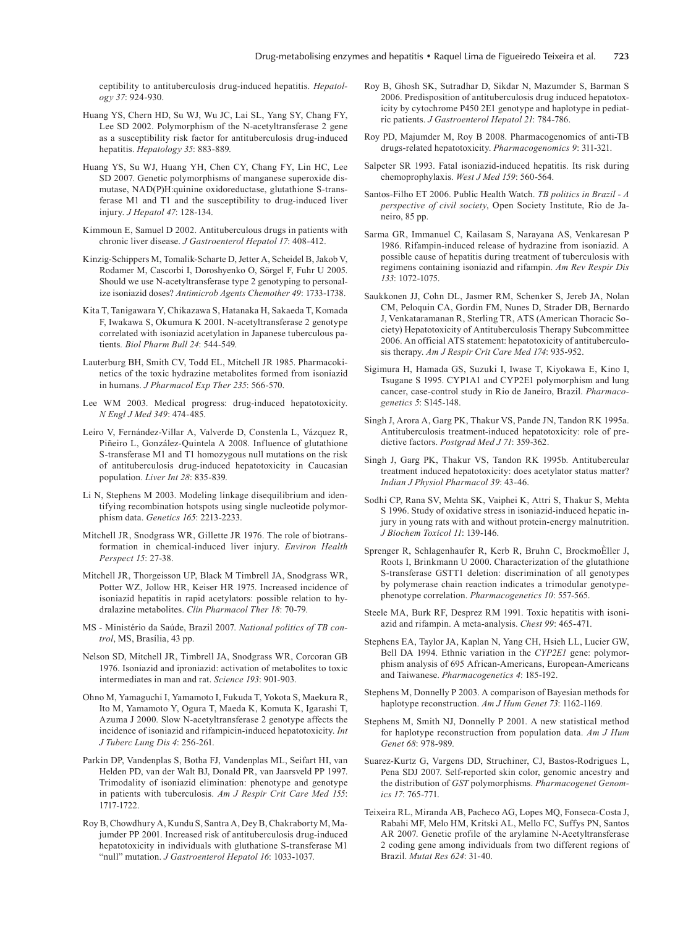ceptibility to antituberculosis drug-induced hepatitis. *Hepatology 37*: 924-930.

- Huang YS, Chern HD, Su WJ, Wu JC, Lai SL, Yang SY, Chang FY, Lee SD 2002. Polymorphism of the N-acetyltransferase 2 gene as a susceptibility risk factor for antituberculosis drug-induced hepatitis. *Hepatology 35*: 883-889.
- Huang YS, Su WJ, Huang YH, Chen CY, Chang FY, Lin HC, Lee SD 2007. Genetic polymorphisms of manganese superoxide dismutase, NAD(P)H:quinine oxidoreductase, glutathione S-transferase M1 and T1 and the susceptibility to drug-induced liver injury. *J Hepatol 47*: 128-134.
- Kimmoun E, Samuel D 2002. Antituberculous drugs in patients with chronic liver disease. *J Gastroenterol Hepatol 17*: 408-412.
- Kinzig-Schippers M, Tomalik-Scharte D, Jetter A, Scheidel B, Jakob V, Rodamer M, Cascorbi I, Doroshyenko O, Sörgel F, Fuhr U 2005. Should we use N-acetyltransferase type 2 genotyping to personalize isoniazid doses? *Antimicrob Agents Chemother 49*: 1733-1738.
- Kita T, Tanigawara Y, Chikazawa S, Hatanaka H, Sakaeda T, Komada F, Iwakawa S, Okumura K 2001. N-acetyltransferase 2 genotype correlated with isoniazid acetylation in Japanese tuberculous patients*. Biol Pharm Bull 24*: 544-549.
- Lauterburg BH, Smith CV, Todd EL, Mitchell JR 1985. Pharmacokinetics of the toxic hydrazine metabolites formed from isoniazid in humans. *J Pharmacol Exp Ther 235*: 566-570.
- Lee WM 2003. Medical progress: drug-induced hepatotoxicity. *N Engl J Med 349*: 474-485.
- Leiro V, Fernández-Villar A, Valverde D, Constenla L, Vázquez R, Piñeiro L, González-Quintela A 2008. Influence of glutathione S-transferase M1 and T1 homozygous null mutations on the risk of antituberculosis drug-induced hepatotoxicity in Caucasian population. *Liver Int 28*: 835-839.
- Li N, Stephens M 2003. Modeling linkage disequilibrium and identifying recombination hotspots using single nucleotide polymorphism data. *Genetics 165*: 2213-2233.
- Mitchell JR, Snodgrass WR, Gillette JR 1976. The role of biotransformation in chemical-induced liver injury. *Environ Health Perspect 15*: 27-38.
- Mitchell JR, Thorgeisson UP, Black M Timbrell JA, Snodgrass WR, Potter WZ, Jollow HR, Keiser HR 1975. Increased incidence of isoniazid hepatitis in rapid acetylators: possible relation to hydralazine metabolites. *Clin Pharmacol Ther 18*: 70-79.
- MS Ministério da Saúde, Brazil 2007. *National politics of TB control*, MS, Brasília, 43 pp.
- Nelson SD, Mitchell JR, Timbrell JA, Snodgrass WR, Corcoran GB 1976. Isoniazid and iproniazid: activation of metabolites to toxic intermediates in man and rat. *Science 193*: 901-903.
- Ohno M, Yamaguchi I, Yamamoto I, Fukuda T, Yokota S, Maekura R, Ito M, Yamamoto Y, Ogura T, Maeda K, Komuta K, Igarashi T, Azuma J 2000. Slow N-acetyltransferase 2 genotype affects the incidence of isoniazid and rifampicin-induced hepatotoxicity. *Int J Tuberc Lung Dis 4*: 256-261.
- Parkin DP, Vandenplas S, Botha FJ, Vandenplas ML, Seifart HI, van Helden PD, van der Walt BJ, Donald PR, van Jaarsveld PP 1997. Trimodality of isoniazid elimination: phenotype and genotype in patients with tuberculosis. *Am J Respir Crit Care Med 155*: 1717-1722.
- Roy B, Chowdhury A, Kundu S, Santra A, Dey B, Chakraborty M, Majumder PP 2001. Increased risk of antituberculosis drug-induced hepatotoxicity in individuals with gluthatione S-transferase M1 "null" mutation. *J Gastroenterol Hepatol 16*: 1033-1037.
- Roy B, Ghosh SK, Sutradhar D, Sikdar N, Mazumder S, Barman S 2006. Predisposition of antituberculosis drug induced hepatotoxicity by cytochrome P450 2E1 genotype and haplotype in pediatric patients. *J Gastroenterol Hepatol 21*: 784-786.
- Roy PD, Majumder M, Roy B 2008. Pharmacogenomics of anti-TB drugs-related hepatotoxicity. *Pharmacogenomics 9*: 311-321.
- Salpeter SR 1993. Fatal isoniazid-induced hepatitis. Its risk during chemoprophylaxis. *West J Med 159*: 560-564.
- Santos-Filho ET 2006. Public Health Watch. *TB politics in Brazil A perspective of civil society*, Open Society Institute, Rio de Janeiro, 85 pp.
- Sarma GR, Immanuel C, Kailasam S, Narayana AS, Venkaresan P 1986. Rifampin-induced release of hydrazine from isoniazid. A possible cause of hepatitis during treatment of tuberculosis with regimens containing isoniazid and rifampin. *Am Rev Respir Dis 133*: 1072-1075.
- Saukkonen JJ, Cohn DL, Jasmer RM, Schenker S, Jereb JA, Nolan CM, Peloquin CA, Gordin FM, Nunes D, Strader DB, Bernardo J, Venkataramanan R, Sterling TR, ATS (American Thoracic Society) Hepatotoxicity of Antituberculosis Therapy Subcommittee 2006. An official ATS statement: hepatotoxicity of antituberculosis therapy. *Am J Respir Crit Care Med 174*: 935-952.
- Sigimura H, Hamada GS, Suzuki I, Iwase T, Kiyokawa E, Kino I, Tsugane S 1995. CYP1A1 and CYP2E1 polymorphism and lung cancer, case-control study in Rio de Janeiro, Brazil. *Pharmacogenetics 5*: S145-148.
- Singh J, Arora A, Garg PK, Thakur VS, Pande JN, Tandon RK 1995a. Antituberculosis treatment-induced hepatotoxicity: role of predictive factors. *Postgrad Med J 71*: 359-362.
- Singh J, Garg PK, Thakur VS, Tandon RK 1995b. Antitubercular treatment induced hepatotoxicity: does acetylator status matter? *Indian J Physiol Pharmacol 39*: 43-46.
- Sodhi CP, Rana SV, Mehta SK, Vaiphei K, Attri S, Thakur S, Mehta S 1996. Study of oxidative stress in isoniazid-induced hepatic injury in young rats with and without protein-energy malnutrition. *J Biochem Toxicol 11*: 139-146.
- Sprenger R, Schlagenhaufer R, Kerb R, Bruhn C, BrockmoÈller J, Roots I, Brinkmann U 2000. Characterization of the glutathione S-transferase GSTT1 deletion: discrimination of all genotypes by polymerase chain reaction indicates a trimodular genotypephenotype correlation. *Pharmacogenetics 10*: 557-565.
- Steele MA, Burk RF, Desprez RM 1991. Toxic hepatitis with isoniazid and rifampin. A meta-analysis. *Chest 99*: 465-471.
- Stephens EA, Taylor JA, Kaplan N, Yang CH, Hsieh LL, Lucier GW, Bell DA 1994. Ethnic variation in the *CYP2E1* gene: polymorphism analysis of 695 African-Americans, European-Americans and Taiwanese. *Pharmacogenetics 4*: 185-192.
- Stephens M, Donnelly P 2003. A comparison of Bayesian methods for haplotype reconstruction. *Am J Hum Genet 73*: 1162-1169.
- Stephens M, Smith NJ, Donnelly P 2001. A new statistical method for haplotype reconstruction from population data. *Am J Hum Genet 68*: 978-989.
- Suarez-Kurtz G, Vargens DD, Struchiner, CJ, Bastos-Rodrigues L, Pena SDJ 2007. Self-reported skin color, genomic ancestry and the distribution of *GST* polymorphisms. *Pharmacogenet Genomics 17*: 765-771.
- Teixeira RL, Miranda AB, Pacheco AG, Lopes MQ, Fonseca-Costa J, Rabahi MF, Melo HM, Kritski AL, Mello FC, Suffys PN, Santos AR 2007. Genetic profile of the arylamine N-Acetyltransferase 2 coding gene among individuals from two different regions of Brazil. *Mutat Res 624*: 31-40.